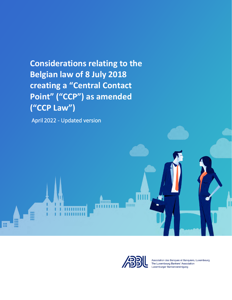**Considerations relating to the Belgian law of 8 July 2018 creating a "Central Contact Point" ("CCP") as amended ("CCP Law")**

April 2022 - Updated version



Association des Banques et Banquiers, Luxembourg The Luxembourg Bankers' Association Luxemburger Bankenvereinigung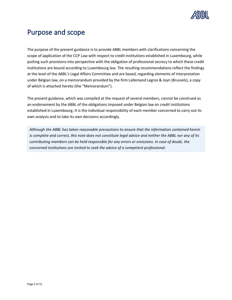

# Purpose and scope

The purpose of the present guidance is to provide ABBL members with clarifications concerning the scope of application of the CCP Law with respect to credit institutions established in Luxembourg, while putting such provisions into perspective with the obligation of professional secrecy to which these credit institutions are bound according to Luxembourg law. The resulting recommendations reflect the findings at the level of the ABBL's Legal Affairs Committee and are based, regarding elements of interpretation under Belgian law, on a memorandum provided by the firm Lallemand Legros & Joyn (Brussels), a copy of which is attached hereto (the "Memorandum").

The present guidance, which was compiled at the request of several members, cannot be construed as an endorsement by the ABBL of the obligations imposed under Belgian law on credit institutions established in Luxembourg. It is the individual responsibility of each member concerned to carry out its own analysis and to take its own decisions accordingly.

*Although the ABBL has taken reasonable precautions to ensure that the information contained herein is complete and correct, this note does not constitute legal advice and neither the ABBL nor any of its contributing members can be held responsible for any errors or omissions. In case of doubt, the concerned institutions are invited to seek the advice of a competent professional.*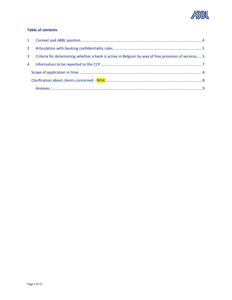

#### **Table of contents**

| $2^{\circ}$    |                                                                                                     |  |
|----------------|-----------------------------------------------------------------------------------------------------|--|
| $\mathbf{3}$   | Criteria for determining whether a bank is active in Belgium by way of free provision of services 5 |  |
| $\overline{4}$ |                                                                                                     |  |
|                |                                                                                                     |  |
|                |                                                                                                     |  |
|                |                                                                                                     |  |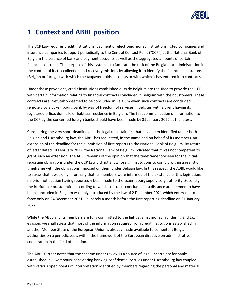

## <span id="page-3-0"></span>**1 Context and ABBL position**

The CCP Law requires credit institutions, payment or electronic money institutions, listed companies and insurance companies to report periodically to the Central Contact Point ("CCP") at the National Bank of Belgium the balance of bank and payment accounts as well as the aggregated amounts of certain financial contracts. The purpose of this system is to facilitate the task of the Belgian tax administration in the context of its tax collection and recovery missions by allowing it to identify the financial institutions (Belgian or foreign) with which the taxpayer holds accounts or with which it has entered into contracts.

Under these provisions, credit institutions established outside Belgium are required to provide the CCP with certain information relating to financial contracts concluded in Belgium with their customers. These contracts are irrefutably deemed to be concluded in Belgium when such contracts are concluded remotely by a Luxembourg bank by way of freedom of services in Belgium with a client having its registered office, domicile or habitual residence in Belgium. The first communication of information to the CCP by the concerned foreign banks should have been made by 31 January 2022 at the latest.

Considering the very short deadline and the legal uncertainties that have been identified under both Belgian and Luxembourg law, the ABBL has requested, in the name and on behalf of its members, an extension of the deadline for the submission of first reports to the National Bank of Belgium. By return of letter dated 18 February 2022, the National Bank of Belgium indicated that it was not competent to grant such an extension. The ABBL remains of the opinion that the timeframe foreseen for the initial reporting obligations under the CCP Law did not allow foreign institutions to comply within a realistic timeframe with the obligations imposed on them under Belgian law. In this respect, the ABBL would like to stress that it was only informally that its members were informed of the existence of this legislation, no prior notification having reportedly been made to the Luxembourg supervisory authority. Secondly, the irrefutable presumption according to which contracts concluded at a distance are deemed to have been concluded in Belgium was only introduced by the law of 2 December 2021 which entered into force only on 24 December 2021, i.e. barely a month before the first reporting deadline on 31 January 2022.

While the ABBL and its members are fully committed to the fight against money laundering and tax evasion, we shall stress that most of the information required from credit institutions established in another Member State of the European Union is already made available to competent Belgian authorities on a periodic basis within the framework of the European directive on administrative cooperation in the field of taxation.

The ABBL further notes that the scheme under review is a source of legal uncertainty for banks established in Luxembourg considering banking confidentiality rules under Luxembourg law coupled with various open points of interpretation identified by members regarding the personal and material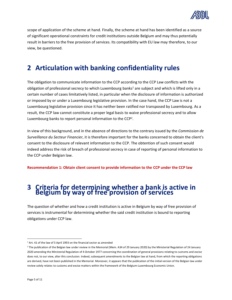

scope of application of the scheme at hand. Finally, the scheme at hand has been identified as a source of significant operational constraints for credit institutions outside Belgium and may thus potentially result in barriers to the free provision of services. Its compatibility with EU law may therefore, to our view, be questioned.

# <span id="page-4-0"></span>**2 Articulation with banking confidentiality rules**

The obligation to communicate information to the CCP according to the CCP Law conflicts with the obligation of professional secrecy to which Luxembourg banks<sup>1</sup> are subject and which is lifted only in a certain number of cases limitatively listed, in particular when the disclosure of information is authorized or imposed by or under a Luxembourg legislative provision. In the case hand, the CCP Law is not a Luxembourg legislative provision since it has neither been ratified nor transposed by Luxembourg. As a result, the CCP law cannot constitute a proper legal basis to waive professional secrecy and to allow Luxembourg banks to report personal information to the CCP<sup>2</sup>.

In view of this background, and in the absence of directions to the contrary issued by the *Commission de Surveillance du Secteur Financier*, it is therefore important for the banks concerned to obtain the client's consent to the disclosure of relevant information to the CCP. The obtention of such consent would indeed address the risk of breach of professional secrecy in case of reporting of personal information to the CCP under Belgian law.

<span id="page-4-1"></span>**Recommendation 1: Obtain client consent to provide information to the CCP under the CCP law** 

# **<sup>3</sup> Criteria for determining whether a bank is active in Belgium by way of free provision of services**

The question of whether and how a credit institution is active in Belgium by way of free provision of services is instrumental for determining whether the said credit institution is bound to reporting obligations under CCP law.

<sup>&</sup>lt;sup>1</sup> Art. 41 of the law of 5 April 1993 on the financial sector as amended

<sup>&</sup>lt;sup>2</sup> The publication of the Belgian law under review in the Memorial (Mem. A34 of 29 January 2020) by the Ministerial Regulation of 24 January 2020 amending the Ministerial Regulation of 4 October 1977 concerning the coordination of general provisions relating to customs and excise does not, to our view, alter this conclusion. Indeed, subsequent amendments to the Belgian law at hand, from which the reporting obligations are derived, have not been published in the Memorial. Moreover, it appears that the publication of the initial version of the Belgian law under review solely relates to customs and excise matters within the framework of the Belgium-Luxembourg Economic Union.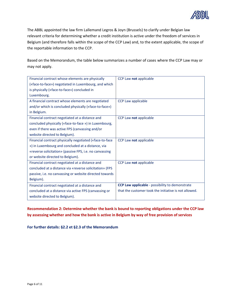

The ABBL appointed the law firm Lallemand Legros & Joyn (Brussels) to clarify under Belgian law relevant criteria for determining whether a credit institution is active under the freedom of services in Belgium (and therefore falls within the scope of the CCP Law) and, to the extent applicable, the scope of the reportable information to the CCP.

Based on the Memorandum, the table below summarizes a number of cases where the CCP Law may or may not apply.

| Financial contract whose elements are physically        | CCP Law not applicable                                 |
|---------------------------------------------------------|--------------------------------------------------------|
| («face-to-face») negotiated in Luxembourg, and which    |                                                        |
| is physically («face-to-face») concluded in             |                                                        |
| Luxembourg.                                             |                                                        |
| A financial contract whose elements are negotiated      | CCP Law applicable                                     |
| and/or which is concluded physically («face-to-face»)   |                                                        |
| in Belgium.                                             |                                                        |
| Financial contract negotiated at a distance and         | CCP Law not applicable                                 |
| concluded physically («face-to-face ») in Luxembourg,   |                                                        |
| even if there was active FPS (canvassing and/or         |                                                        |
| website directed to Belgium).                           |                                                        |
| Financial contract physically negotiated («face-to-face | CCP Law not applicable                                 |
| ») in Luxembourg and concluded at a distance, via       |                                                        |
| «reverse solicitation» (passive FPS, i.e. no canvassing |                                                        |
| or website directed to Belgium).                        |                                                        |
| Financial contract negotiated at a distance and         | CCP Law not applicable                                 |
| concluded at a distance via «reverse solicitation» (FPS |                                                        |
| passive, i.e. no canvassing or website directed towards |                                                        |
| Belgium).                                               |                                                        |
| Financial contract negotiated at a distance and         | <b>CCP Law applicable</b> - possibility to demonstrate |
| concluded at a distance via active FPS (canvassing or   | that the customer took the initiative is not allowed.  |
| website directed to Belgium).                           |                                                        |

**Recommendation 2: Determine whether the bank is bound to reporting obligations under the CCP law by assessing whether and how the bank is active in Belgium by way of free provision of services** 

**For further details: §2.2 et §2.3 of the Memorandum**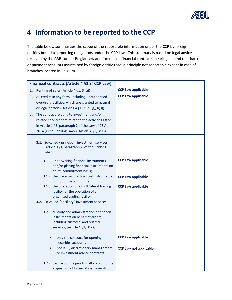

# <span id="page-6-0"></span>**4 Information to be reported to the CCP**

The table below summarizes the scope of the reportable information under the CCP by foreign entities bound to reporting obligations under the CCP law. This summary is based on legal advice received by the ABBL under Belgian law and focuses on financial contracts, bearing in mind that bank or payment accounts maintained by foreign entities are in principle not reportable except in case of branches located in Belgium.

|    | Financial contracts (Article 4 §1 3° CCP Law)                                                                                                                                                                |                           |
|----|--------------------------------------------------------------------------------------------------------------------------------------------------------------------------------------------------------------|---------------------------|
| 1. | Renting of safes (Article 4 §1, 3° a))                                                                                                                                                                       | <b>CCP Law applicable</b> |
| 2. | All credits in any form, including unauthorised<br>overdraft facilities, which are granted to natural<br>or legal persons (Articles 4 §1, 3° d), g), h) i))                                                  | <b>CCP Law applicable</b> |
| 3. | The contract relating to investment and/or<br>related services that relate to the activities listed<br>in Article 1 §3, paragraph 2 of the Law of 25 April<br>2014 («The Banking Law») (Article 4 §1, 3° c)) |                           |
|    | 3.1. So-called «principal» investment services<br>(Article 1§3, paragraph 2, of the Banking<br>Law):                                                                                                         |                           |
|    | 3.1.1. underwriting financial instruments<br>and/or placing financial instruments on<br>a firm commitment basis;                                                                                             | <b>CCP Law applicable</b> |
|    | 3.1.2. the placement of financial instruments<br>without firm commitment;                                                                                                                                    | <b>CCP Law applicable</b> |
|    | 3.1.3. the operation of a multilateral trading<br>facility; or the operation of an<br>organised trading facility                                                                                             | <b>CCP Law applicable</b> |
|    | 3.2. So-called "ancillary" investment services:                                                                                                                                                              |                           |
|    | 3.2.1. custody and administration of financial<br>instruments on behalf of clients,<br>including custodial and related<br>services, (Article 4 §1, 3° c);                                                    |                           |
|    | only the contract for opening<br>$\bullet$<br>securities accounts                                                                                                                                            | <b>CCP Law applicable</b> |
|    | not RTO, discretionary management,<br>$\bullet$<br>or investment advice contracts                                                                                                                            | CCP Law not applicable    |
|    | 3.2.2. cash accounts pending allocation to the<br>acquisition of financial instruments or                                                                                                                    |                           |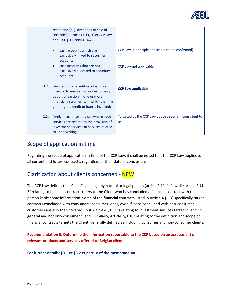

| restitution (e.g. dividends or sale of<br>securities) (Articles 4 §1, 3° c) CCP Law<br>and 533, $§$ 1 Banking Law).                                                                                                 |                                                               |
|---------------------------------------------------------------------------------------------------------------------------------------------------------------------------------------------------------------------|---------------------------------------------------------------|
| cash accounts which are<br>exclusively linked to securities<br>accounts                                                                                                                                             | CCP Law in principle applicable (to be confirmed)             |
| cash accounts that are not<br>exclusively allocated to securities<br>accounts                                                                                                                                       | CCP Law not applicable                                        |
| 3.2.3. the granting of credit or a loan to an<br>investor to enable him or her to carry<br>out a transaction in one or more<br>financial instruments, in which the firm<br>granting the credit or loan is involved; | <b>CCP Law applicable</b>                                     |
| 3.2.4. foreign exchange services where such<br>services are related to the provision of<br>investment services or services related<br>to underwriting                                                               | Targeted by the CCP Law but this seems inconsistent to<br>us. |

### <span id="page-7-0"></span>Scope of application in time

Regarding the scope of application in time of the CCP Law, it shall be noted that the CCP Law applies to all current and future contracts, regardless of their date of conclusion.

## <span id="page-7-1"></span>Clarification about clients concerned - NEW

The CCP Law defines the "Client" as being any natural or legal person (article 2 §1, 11°) while article 4 §1 3° relating to financial contracts refers to the Client who has concluded a financial contract with the person liable some information. Some of the financial contracts listed in Article 4 §1 3° specifically target contracts concluded with consumers (consumer loans, even if loans concluded with non-consumer customers are also then covered), but Article 4 §1 3° c) relating to investment services targets clients in general and not only consumer clients. Similarly, Article 2§1 10° relating to the definition and scope of financial contracts targets the Client, generally defined as including consumer and non-consumer clients.

**Recommendation 3: Determine the information reportable to the CCP based on an assessment of relevant products and services offered to Belgian clients** 

**For further details: §3.1 et §3.2 et part IV of the Memorandum**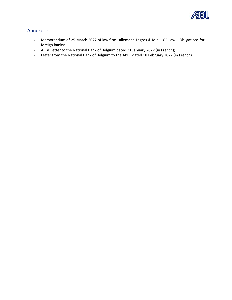

#### <span id="page-8-0"></span>Annexes :

- Memorandum of 25 March 2022 of law firm Lallemand Legros & Join, CCP Law Obligations for foreign banks;
- ABBL Letter to the National Bank of Belgium dated 31 January 2022 (in French);
- Letter from the National Bank of Belgium to the ABBL dated 18 February 2022 (in French).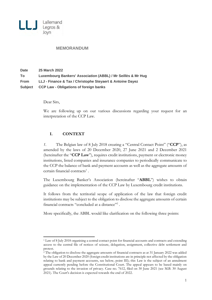

#### **MEMORANDUM**

| <b>Date</b> | <b>25 March 2022</b>                                         |
|-------------|--------------------------------------------------------------|
| To          | Luxembourg Bankers' Association (ABBL) / Mr Seillès & Mr Hug |
| <b>From</b> | LLJ - Finance & Tax / Christophe Steyaert & Antoine Dayez    |
| Subject     | <b>CCP Law - Obligations of foreign banks</b>                |

Dear Sirs,

We are following up on our various discussions regarding your request for an interpretation of the CCP Law.

#### **I. CONTEXT**

*1.* The Belgian law of 8 July 2018 creating a "Central Contact Point" ("**CCP**"), as amended by the laws of 20 December 2020, 27 June 2021 and 2 December 2021 (hereinafter the "**CCP Law**"), requires credit institutions, payment or electronic money institutions, listed companies and insurance companies to periodically communicate to the CCP the balance of bank and payment accounts as well as the aggregate amounts of certain financial contracts<sup>1</sup>.

The Luxembourg Banker's Association (hereinafter "**ABBL**") wishes to obtain guidance on the implementation of the CCP Law by Luxembourg credit institutions.

It follows from the territorial scope of application of the law that foreign credit institutions may be subject to the obligation to disclose the aggregate amounts of certain financial contracts "concluded at a distance"<sup>2</sup>.

More specifically, the ABBL would like clarification on the following three points:

<sup>1</sup> Law of 8 July 2018 organising a central contact point for financial accounts and contracts and extending access to the central file of notices of seizure, delegation, assignment, collective debt settlement and protest.

<sup>2</sup> The obligation to disclose the aggregate amounts of financial contracts as at 31 January 2022 was added by the Law of 20 December 2020 (foreign credit institutions are in principle not affected by the obligation relating to bank and payment accounts, see below, point III); this Law is the subject of an annulment appeal currently pending before the Constitutional Court. The appeal appears to be based mainly on grounds relating to the invasion of privacy. Case no. 7612, filed on 30 June 2021 (see M.B. 30 August 2021). The Court's decision is expected towards the end of 2022.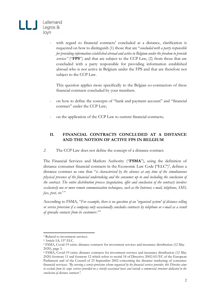

- with regard to financial contracts<sup>3</sup> concluded at a distance, clarification is requested on how to distinguish (1) those that are "*concluded with a party responsible for providing information established abroad and active in Belgium under the freedom to provide services"* ("**FPS**") and that are subject to the CCP Law, (2) from those that are concluded with a party responsible for providing information established abroad who is not active in Belgium under the FPS and that are therefore not subject to the CCP Law.

This question applies more specifically to the Belgian co-contractors of these financial contracts concluded by your members.

- on how to define the concepts of "bank and payment account" and "financial contract" under the CCP Law;
- on the application of the CCP Law to current financial contracts;

#### **II. FINANCIAL CONTRACTS CONCLUDED AT A DISTANCE AND THE NOTION OF ACTIVE FPS IN BELGIUM**

*2.* The CCP Law does not define the concept of a distance contract.

The Financial Services and Markets Authority ("**FSMA**"), using the definition of distance consumer financial contracts in the Economic Law Code ("ELC") 4 , defines a distance contract as one that "*is characterised by the absence at any time of the simultaneous physical presence of the financial undertaking and the consumer up to and including the conclusion of the contract. The entire distribution process (negotiation, offer and conclusion of the contract) involves exclusively one or more remote communication techniques, such as the Internet, e-mail, telephone, SMS, fax, post, etc.*<sup>5</sup> *"*

According to FSMA, "*For example, there is no question of an 'organised system' of distance selling or service provision if a company only occasionally concludes contracts by telephone or e-mail as a result*  of sporadic contacts from its customers.<sup>6</sup>"

<sup>&</sup>lt;sup>3</sup> Related to investment services.

<sup>4</sup> Article I.8, 15° ELC.

<sup>5</sup> FSMA, Covid-19 crisis: distance contracts for investment services and insurance distribution (12 May 2020), page 3.

<sup>6</sup> FSMA, Covid-19 crisis: distance contracts for investment services and insurance distribution (12 May 2020) footnote 11 and footnote 12 which refers to recital 18 of Directive 2002/65/EC of the European Parliament and of the Council of 23 September 2002 concerning the distance marketing of consumer financial services: *"By covering a service-provision scheme organised by the financial services provider, this Directive aims to exclude from its scope services provided on a strictly occasional basis and outside a commercial structure dedicated to the conclusion of distance contracts".*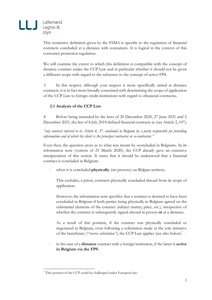

This restrictive definition given by the FSMA is specific to the regulation of financial contracts concluded at a distance with consumers. It is logical in the context of this consumer protection regulation.

We will examine the extent to which this definition is compatible with the concept of distance contract under the CCP Law and in particular whether it should not be given a different scope with regard to the reference to the concept of active FPS.

*3.* In this respect, although your request is more specifically aimed at distance contracts, it is in fact more broadly concerned with determining the scope of application of the CCP Law to foreign credit institutions with regard to «financial contracts».

#### **2.1 Analysis of the CCP Law**

*4.* Before being amended by the laws of 20 December 2020, 27 June 2021 and 2 December 2021, the law of 8 July 2018 defined financial contracts as (see Article 2, 10°):

*"any contract referred to in Article 4, 3°, concluded in Belgium by a party responsible for providing information and of which his client is the principal contractor or co-contractor."*

Even then, the question arose as to what was meant by «concluded in Belgium». In its information note (version of 25 March 2020), the CCP already gave an extensive interpretation of this notion. It states that it should be understood that a financial contract is concluded in Belgium:

when it is concluded **physically** («in person») on Belgian territory.

This excludes, a priori, contracts physically concluded abroad from its scope of application.

However, the information note specifies that a contract is deemed to have been concluded in Belgium if both parties being physically in Belgium agreed on the substantial elements of the contract (subject matter, price, etc.), irrespective of whether the contract is subsequently signed abroad in person **or** at a distance.

As a result of this position, if the contract was physically concluded or negotiated in Belgium, even following a solicitation made at the sole initiative of the beneficiary ("reverse solicitation"), the CCP Law applies (see also below)<sup>7</sup>.

- in the case of a **distance** contract with a foreign institution, if the latter is **active in Belgium via the FPS**.

<sup>7</sup> This position of the CCP could be challenged under European law.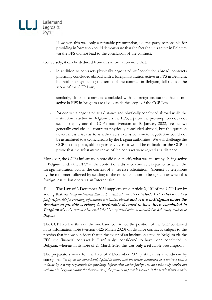

However, this was only a refutable presumption, i.e. the party responsible for providing information could demonstrate that the fact that it is active in Belgium via the FPS did not lead to the conclusion of the contract.

Conversely, it can be deduced from this information note that:

- in addition to contracts physically negotiated *and* concluded abroad, contracts physically concluded abroad with a foreign institution active in FPS in Belgium, but without negotiating the terms of the contract in Belgium, fall outside the scope of the CCP Law;
- similarly, distance contracts concluded with a foreign institution that is not active in FPS in Belgium are also outside the scope of the CCP Law.
- for contracts negotiated at a distance and physically concluded abroad while the institution is active in Belgium via the FPS, a priori the presumption does not seem to apply and the CCP's note (version of 10 January 2022, see below) generally excludes all contracts physically concluded abroad, but the question nevertheless arises as to whether very extensive remote negotiation could not be assimilated to a «conclusion» by the Belgian authorities. We will challenge the CCP on this point, although in any event it would be difficult for the CCP to prove that the substantive terms of the contract were agreed at a distance.

Moreover, the CCP's information note did not specify what was meant by "being active in Belgium under the FPS" in the context of a distance contract, in particular when the foreign institution acts in the context of a "reverse solicitation" (contact by telephone by the customer followed by sending of the documentation to be signed) or when this foreign institution operates an Internet site.

*5.* The Law of 2 December 2021 supplemented Article 2, 10° of the CCP Law by adding that: «*it being understood that such a contract,* **when concluded at a distance** *by a party responsible for providing information established abroad* **and active in Belgium under the freedom to provide services, is irrefutably deemed to have been concluded in Belgium** *when the customer has established his registered office, is domiciled or habitually resident in Belgium".*

The CCP Law has thus on the one hand confirmed the position of the CCP contained in its information note (version of25 March 2020) on distance contracts, subject to the proviso that it now considers that in the event of an institution active in Belgium via the FPS, the financial contract is "irrefutably" considered to have been concluded in Belgium, whereas in its note of 25 March 2020 this was only a refutable presumption.

The preparatory work for the Law of 2 December 2021 justifies this amendment by stating that "*it is, on the other hand, logical to think that the remote conclusion of a contract with a resident by a party responsible for providing information under foreign law and who only carries out activities in Belgium within the framework of the freedom to provide services, is the result of this activity*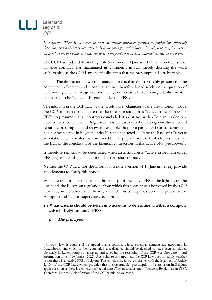

*in Belgium... There is no reason to treat information providers governed by foreign law differently depending on whether they are active in Belgium through a subsidiary, a branch, a place of business or an agent on the one hand, or under the cover of the freedom to provide financial services on the other."*

The CCP has updated its briefing note (version of 10 January 2022) and on the issue of distance contracts has maintained its comments in full, merely deleting the word «rebuttable», as the CCP Law specifically states that the presumption is irrebuttable.

*6.* The distinction between distance contracts that are irrevocably presumed to be concluded in Belgium and those that are not therefore based solely on the question of determining when a foreign establishment, in this case a Luxembourg establishment, is considered to be "active in Belgium under the FPS".

The addition in the CCP Law of the "irrefutable" character of the presumption, allows the CCP, if it can demonstrate that the foreign institution is "active in Belgium under FPS", to presume that all contracts concluded at a distance with a Belgian resident are deemed to be concluded in Belgium. This is the case even if the foreign institution could rebut the presumption and show, for example, that for a particular financial contract it had not been active in Belgium under FPS and had acted solely on the basis of a "reverse solicitation". This analysis is confirmed by the preparatory work which presumes that the fruit of the conclusion of the financial contract lies in this active FPS (see above)<sup>8</sup>.

It therefore remains to be determined when an institution is "active in Belgium under FPS", regardless of the conclusion of a particular contract.

Neither the CCP Law nor the information note (version of 10 January 2022) provide any elements to clarify this notion.

We therefore propose to examine this concept of the active FPS in the light of, on the one hand, the European regulations from which this concept was borrowed by the CCP Law and, on the other hand, the way in which this concept has been interpreted by the European and Belgian supervisory authorities.

#### **2.2 What criteria should be taken into account to determine whether a company is active in Belgium under FPS?**

#### **i. The principles**

<sup>8</sup> In our view, it could still be argued that a contract whose essential elements are negotiated in Luxembourg and which is then concluded at a distance should be deemed to have been concluded physically in Luxembourg by taking up and reversing the reasoning of the CCP (see above no. 4 and information note of 10 January 2022). According to this argument, the CCP Law does not apply whether or not there is an active FPS in Belgium. This conclusion, however, clashes with the legal text of Article 2, 10° of the CCP Law, which provides that the (irrefutable) presumption of conclusion in Belgium applies as soon as there is a conclusion "at a distance" by an establishment "active in Belgium as an FPS". Therefore, here too a clarification of the CCP would be welcome.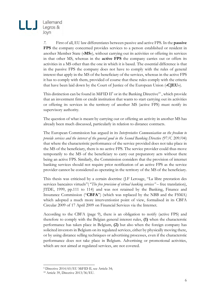

*7.* First of all, EU law differentiates between passive and active FPS. In the **passive FPS** the company concerned provides services to a person established or resident in another Member State («**MS**»), without carrying out its activities or offering its services in that other MS, whereas in the **active FPS** the company carries out or offers its activities in a MS other than the one in which it is based. The essential difference is that in the passive FPS the company does not have to comply with the rules of general interest that apply in the MS of the beneficiary of the services, whereas in the active FPS it has to comply with them, provided of course that these rules comply with the criteria that have been laid down by the Court of Justice of the European Union («**CJEU**»).

This distinction can be found in MiFID  $II^9$  or in the Banking Directive<sup>10</sup>, which provide that an investment firm or credit institution that wants to start carrying out its activities or offering its services in the territory of another MS (active FPS) must notify its supervisory authority.

The question of what is meant by carrying out or offering an activity in another MS has already been much discussed, particularly in relation to distance contracts.

The European Commission has argued in its *Interpretative Communication on the freedom to provide services and the interest of the general good in the Second Banking Directive* (97/C 209/04) that where the characteristic performance of the service provided does not take place in the MS of the beneficiary, there is no active FPS. The service provider could thus move temporarily to the MS of the beneficiary to carry out preparatory acts without there being an active FPS. Similarly, the Commission considers that the provision of internet banking services should not require prior notification of an active FPS as the service provider cannot be considered as operating in the territory of the MS of the beneficiary.

This thesis was criticised by a certain doctrine (J.F Lerouge, "La libre prestation des services bancaires virtuels"( "*The free provision of virtual banking services"* – free translation), JTDE, 1999, pp.111 to 114) and was not retained by the Banking, Finance and Insurance Commission ("**CBFA**") (which was replaced by the NBB and the FSMA) which adopted a much more interventionist point of view, formalised in its CBFA Circular 2009 of 17 April 2009 on Financial Services via the Internet.

According to the CBFA (page 9), there is an obligation to notify (active FPS) and therefore to comply with the Belgian general interest rules, **(1)** when the characterstic performance has taken place in Belgium, **(2)** but also when the foreign company has solicited investors in Belgium on its regulated services, either by physically moving there, or by using distance selling techniques or advertising processes, even if the characterstic performance does not take place in Belgium. Advertising or promotional activities, which are not aimed at regulated services, are not covered.

<sup>9</sup> Directive 2014/65/EU MiFID II, see Article 34;

<sup>10</sup> Article 39, Directive 2013/36/EU.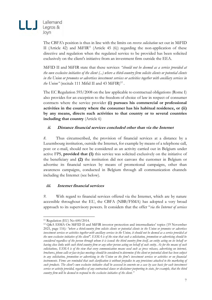

The CBFA's position is thus in line with the limits on *reverse solicitation* set out in MiFID II (Article 42) and MiFIR<sup>11</sup> (Article 45  $(6)$ ) regarding the non-application of these directive and regulation when the regulated service to be provided has been solicited exclusively on the client's initiative from an investment firm outside the EEA.

MiFID II and MiFIR state that these services *"should not be deemed as a service provided at the own exclusive initiative of the client (...) where a third-country firm solicits clients or potential clients in the Union or promotes or advertises investment services or activities together with ancillary services in*  the Union" (recitals 111 Mifid II and 43 MiFIR)<sup>12</sup>.

The EC Regulation 593/2008 on the law applicable to contractual obligations (Rome I) also provides for an exception to the freedom of choice of law in respect of consumer contracts where the service provider **(i) pursues his commercial or professional activities in the country where the consumer has his habitual residence, or (ii) by any means, directs such activities to that country or to several countries including that country** (Article 6)

#### **ii. Distance financial services concluded other than via the Internet**

*8.* Thus circumscribed, the provision of financial services at a distance by a Luxembourg institution, outside the Internet, for example by means of a telephone call, post or e-mail, should not be considered as an activity carried out in Belgium under active FPS, **provided that (1)** this service was solicited exclusively on the initiative of the beneficiary and **(2)** the institution did not canvass the customer in Belgium or advertise its financial services by means of promotional campaigns, other than awareness campaigns, conducted in Belgium through all communication channels including the Internet (see below).

#### **iii. Internet financial services**

*9.* With regard to financial services offered via the Internet, which are by nature accessible throughout the EU, the CBFA (NBB/FSMA) has adopted a very broad approach to its supervisory powers. It considers that the offer "*via the Internet of services* 

<sup>11</sup> Regulation (EU) No 600/2014.

<sup>12</sup> Q&A ESMA On MiFID II and MiFIR investor protection and intermediaries' topics (19 November 2021, page 116)*: "where a third-country firm solicits clients or potential clients in the Union or promotes or advertises investment services or activities together with ancillary services in the Union, it should not be deemed as a service provided at the own exclusive initiative of the client". ESMA is of the view that such a solicitation, promotion or advertising should be considered regardless of the person through whom it is issued: the third country firm itself, an entity acting on its behalf or having close links with such third country firm or any other person acting on behalf of such entity. As for the means of such solicitations, ESMA is of the view that every communication means used such as press releases, advertising on internet, brochures, phone calls or face-to-face meetings should be considered to determine if the client or potential client has been subject to any solicitation, promotion or advertising in the Union on the firm's investment services or activities or on financial instruments. Firms are reminded that such clarification is without prejudice to any provisions attached to the marketing of such products. The client's own exclusive initiative shall be assessed in concreto on a case by case basis for each investment service or activity provided, regardless of any contractual clause or disclaimer purporting to state, for example, that the third country firm will be deemed to respond to the exclusive initiative of the client."*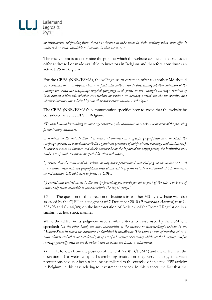

*or instruments originating from abroad is deemed to take place in their territory when such offer is addressed or made available to investors in that territory."*

The tricky point is to determine the point at which the website can be considered as an offer addressed or made available to investors in Belgium and therefore constitutes an active FPS in Belgium*.* 

For the CBFA (NBB/FSMA), the willingness to direct an offer to another MS should be *examined on a case-by-case basis, in particular with a view to determining whether nationals of the country concerned are specifically targeted (language used, prices in the country's currency, mention of local contact addresses), whether transactions or services are actually carried out via the website, and whether investors are solicited by e-mail or other communication techniques.*

The CBFA (NBB/FSMA)'s communication specifies how to avoid that the website be considered as active FPS in Belgium:

*"To avoid misunderstanding in non-target countries, the institution may take one or more of the following precautionary measures:*

*a) mention on the website that it is aimed at investors in a specific geographical area in which the company operates in accordance with the regulations (mention of notifications, warnings and disclaimers);*  in order to locate an investor and check whether he or she is part of the target group, the institution may *make use of mail, telephone or special location techniques;*

*b) ensure that the content of the website or any other promotional material (e.g. in the media or press) is not inconsistent with the geographical area of interest (e.g. if the website is not aimed at UK investors, do not mention UK addresses or prices in GBP);*

*(c) protect and control access to the site by providing passwords for all or part of the site, which are of course only made available to persons within the target group."*

*10.* The question of the direction of business in another MS by a website was also assessed by the CJEU in a judgment of 7 December 2010 (*Pammer and Alpenhof*, case C-585/08 and C-144/09) on the interpretation of Article 6 of the Rome I Regulation in a similar, but less strict, manner.

While the CJEU in its judgment used similar criteria to those used by the FSMA, it specified: *On the other hand, the mere accessibility of the trader's or intermediary's website in the Member State in which the consumer is domiciled is insufficient. The same is true of mention of an email address and other contact details, or of use of a language or currency which are the language and/or currency generally used in the Member State in which the trader is established.*

*11.* It follows from the position of the CBFA (BNB/FSMA) and the CJEU that the operation of a website by a Luxembourg institution may very quickly, if certain precautions have not been taken, be assimilated to the exercise of an active FPS activity in Belgium, in this case relating to investment services. In this respect, the fact that the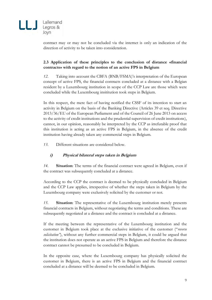

contract may or may not be concluded via the internet is only an indication of the direction of activity to be taken into consideration.

#### **2.3 Application of these principles to the conclusion of distance «financial contracts» with regard to the notion of an active FPS in Belgium**

*12.* Taking into account the CBFA (BNB/FSMA)'s interpretation of the European concept of active FPS, the financial contracts concluded at a distance with a Belgian resident by a Luxembourg institution in scope of the CCP Law are those which were concluded while the Luxembourg insititution took steps in Belgium.

In this respect, the mere fact of having notified the CSSF of its intention to start an activity in Belgium on the basis of the Banking Directive (Articles 39 et seq. Directive 2013/36/EU of the European Parliament and of the Council of 26 June 2013 on access to the activity of credit institutions and the prudential supervision of credit institutions), cannot, in our opinion, reasonably be interpreted by the CCP as irrefutable proof that this institution is acting as an active FPS in Belgium, in the absence of the credit institution having already taken any commercial steps in Belgium.

*13.* Different situations are considered below.

#### **i) Physical bilateral steps taken in Belgium**

*14.* **Situation**: The terms of the financial contract were agreed in Belgium, even if the contract was subsequently concluded at a distance.

According to the CCP the contract is deemed to be physically concluded in Belgium and the CCP Law applies, irrespective of whether the steps taken in Belgium by the Luxembourg company were exclusively solicited by the customer or not.

*15.* **Situation**: The representative of the Luxembourg institution merely presents financial contracts in Belgium, without negotiating the terms and conditions. These are subsequently negotiated at a distance and the contract is concluded at a distance.

If the meeting between the representative of the Luxembourg institution and the customer in Belgium took place at the exclusive initiative of the customer ("*reverse solicitation"*), without any further commercial steps in Belgium, it could be argued that the institution does not operate as an active FPS in Belgium and therefore the distance contract cannot be presumed to be concluded in Belgium.

In the opposite case, where the Luxembourg company has physically solicited the customer in Belgium, there is an active FPS in Belgium and the financial contract concluded at a distance will be deemed to be concluded in Belgium.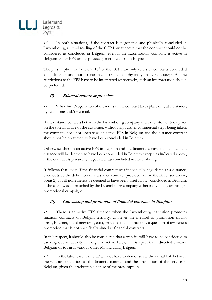

*16.* In both situations, if the contract is negotiated and physically concluded in Luxembourg, a literal reading of the CCP Law suggests that the contract should not be considered as concluded in Belgium, even if the Luxembourg company is active in Belgium under FPS or has physically met the client in Belgium.

The presumption in Article 2, 10° of the CCP Law only refers to contracts concluded at a distance and not to contracts concluded physically in Luxembourg. As the restrictions to the FPS have to be interpreted restrictively, such an interpretation should be preferred.

#### **ii) Bilateral remote approaches**

*17.* **Situation**: Negotiation of the terms of the contract takes place only at a distance, by telephone and/or e-mail.

If the distance contacts between the Luxembourg company and the customer took place on the sole initiative of the customer, without any further commercial steps being taken, the company does not operate as an active FPS in Belgium and the distance contract should not be presumed to have been concluded in Belgium.

Otherwise, there is an active FPS in Belgium and the financial contract concluded at a distance will be deemed to have been concluded in Belgium except, as indicated above, if the contract is physically negotiated *and* concluded in Luxembourg.

It follows that, even if the financial contract was individually negotiated at a distance, even outside the definition of a distance contract provided for by the ELC (see above, point 2), it will nonetheless be deemed to have been "irrefutably" concluded in Belgium, if the client was approached by the Luxembourg company either individually or through promotional campaigns.

#### **iii) Canvassing and promotion of financial contracts in Belgium**

*18.* There is an active FPS situation when the Luxembourg institution promotes financial contracts on Belgian territory, whatever the method of promotion (radio, press, Internet, social networks, etc.), provided that it is not only a question of awareness promotion that is not specifically aimed at financial contracts.

In this respect, it should also be considered that a website will have to be considered as carrying out an activity in Belgium (active FPS), if it is specifically directed towards Belgium or towards various other MS including Belgium.

*19.* In the latter case, the CCP will not have to demonstrate the causal link between the remote conclusion of the financial contract and the promotion of the service in Belgium, given the irrebuttable nature of the presumption.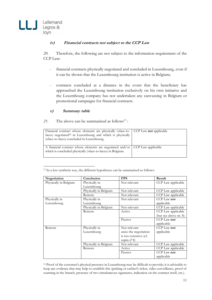#### **iv) Financial contracts not subject to the CCP Law**

*20.* Therefore, the following are not subject to the information requirement of the CCP Law:

- financial contracts physically negotiated and concluded in Luxembourg, even if it can be shown that the Luxembourg institution is active in Belgium;
- contracts concluded at a distance in the event that the beneficiary has approached the Luxembourg institution exclusively on his own initiative and the Luxembourg company has not undertaken any canvassing in Belgium or promotional campaigns for financial contracts.

#### **v) Summary table**

21. The above can be summarised as follows<sup>13</sup>:

| Financial contract whose elements are physically («face-to- CCP Law not applicable<br>face») negotiated <sup>14</sup> in Luxembourg and which is physically<br>(«face-to-face») concluded in Luxembourg. |  |
|----------------------------------------------------------------------------------------------------------------------------------------------------------------------------------------------------------|--|
| A financial contract whose elements are negotiated and/or CCP Law applicable<br>which is concluded physically («face-to-face») in Belgium.                                                               |  |

<sup>13</sup> In a less synthetic way, the different hypotheses can be summarised as follows:

| Negotiation           | Conclusion            | <b>FPS</b>             | Result                |
|-----------------------|-----------------------|------------------------|-----------------------|
| Physically in Belgium | Physically in         | Not relevant           | CCP Law applicable    |
|                       | Luxembourg            |                        |                       |
|                       | Physically in Belgium | Not relevant           | CCP Law applicable    |
|                       | Remote                | Not relevant           | CCP Law applicable    |
| Physically in         | Physically in         | Not relevant           | CCP Law not           |
| Luxembourg            | Luxembourg            |                        | applicable            |
|                       | Physically in Belgium | Not relevant           | CCP Law applicable    |
|                       | Remote                | Active                 | CCP Law applicable    |
|                       |                       |                        | (but see above nr. 8) |
|                       |                       | Passive                | CCP Law not           |
|                       |                       |                        | applicable            |
| Remote                | Physically in         | Not relevant           | CCP Law not           |
|                       | Luxembourg            | unless the negotiation | applicable            |
|                       |                       | is too extensive (cf.  |                       |
|                       |                       | supra $n^{\circ}4$ )   |                       |
|                       | Physically in Belgium | Not relevant           | CCP Law applicable    |
|                       | Remote                | Active                 | CCP Law applicable    |
|                       |                       | Passive                | CCP Law not           |
|                       |                       |                        | applicable            |

<sup>14</sup> Proof of the customer's physical presence in Luxembourg may be difficult to provide; it is advisable to keep any evidence that may help to establish this (parking or cashier's ticket, video surveillance, proof of scanning in the branch, presence of two simultaneous signatures, indication on the contract itself, etc.).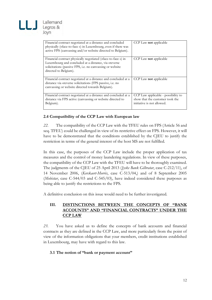

| Financial contract negotiated at a distance and concluded      | CCP Law <b>not</b> applicable       |
|----------------------------------------------------------------|-------------------------------------|
| physically («face-to-face ») in Luxembourg, even if there was  |                                     |
| active FPS (canvassing and/or website directed to Belgium).    |                                     |
|                                                                |                                     |
|                                                                |                                     |
| Financial contract physically negotiated («face-to-face ») in  | CCP Law <b>not</b> applicable       |
| Luxembourg and concluded at a distance, via «reverse           |                                     |
| solicitation» (passive FPS, i.e. no canvassing or website      |                                     |
| directed to Belgium).                                          |                                     |
|                                                                |                                     |
|                                                                |                                     |
| Financial contract negotiated at a distance and concluded at a | CCP Law <b>not</b> applicable       |
| distance via «reverse solicitation» (FPS passive, i.e. no      |                                     |
| canvassing or website directed towards Belgium).               |                                     |
|                                                                |                                     |
|                                                                |                                     |
| Financial contract negotiated at a distance and concluded at a | CCP Law applicable - possibility to |
| distance via FPS active (canvassing or website directed to     | show that the customer took the     |
| Belgium).                                                      | initiative is not allowed.          |
|                                                                |                                     |
|                                                                |                                     |

#### **2.4 Compatibility of the CCP Law with European law**

*22.* The compatibility of the CCP Law with the TFEU rules on FPS (Article 56 and seq. TFEU) could be challenged in view of its restrictive effect on FPS. However, it will have to be demonstrated that the conditions established by the CJEU to justify the restriction in terms of the general interest of the host MS are not fulfilled.

In this case, the purposes of the CCP Law include the proper application of tax measures and the control of money laundering regulations. In view of these purposes, the compatibility of the CCP Law with the TFEU will have to be thoroughly examined. The judgments of the CJEU of 25 April 2013 (*Jyske Bank Gilbratar*, case C-212/11), of 14 November 2006, (*Kerckaert-Morrès*, case C-513/04,) and of 8 September 2005 (*Mobistar*, case C-544/03 and C-545/03), have indeed considered these purposes as being able to justify the restrictions to the FPS.

A definitive conclusion on this issue would need to be further investigated.

#### **III. DISTINCTIONS BETWEEN THE CONCEPTS OF "BANK ACCOUNTS" AND "FINANCIAL CONTRACTS" UNDER THE CCP LAW**

*23.* You have asked us to define the concepts of bank accounts and financial contracts as they are defined in the CCP Law, and more particularly from the point of view of the information obligations that your members, credit institutions established in Luxembourg, may have with regard to this law.

#### **3.1 The notion of "bank or payment account"**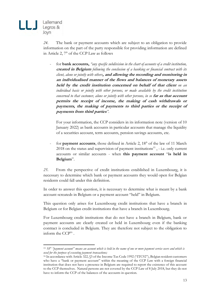

*24.* The bank or payment accounts which are subject to an obligation to provide information on the part of the party responsible for providing information are defined in Article 2, 7° of the CCP Law as follows

- for **bank accounts,** *"any specific subdivision in the chart of accounts of a credit institution,*  **created in Belgium** *following the conclusion of a banking or financial contract with its client, alone or jointly with others***, and allowing the recording and monitoring in an individualised manner of the flows and balances of monetary assets held by the credit institution concerned on behalf of that client** *on an individual basis or jointly with other persons, or made available by the credit institution concerned to that customer, alone or jointly with other persons, in so far as that account* **permits the receipt of income, the making of cash withdrawals or payments, the making of payments to third parties or the receipt of payments from third parties***"*.

For your information, the CCP considers in its information note (version of 10 January 2022) as bank accounts in particular accounts that manage the liquidity of a securities account, term accounts, pension savings accounts, etc.

for **payment accounts**, those defined in Article 2, 18° of the law of 11 March  $2018$  on the status and supervision of payment institutions<sup>15</sup>, - i.e. only current accounts or similar accounts - when **this payment account** "**is held in Belgium**".

*25.* From the perspective of credit institutions established in Luxembourg, it is necessary to determine which bank or payment accounts they would open for Belgian residents could fall under this definition.

In order to answer this question, it is necessary to determine what is meant by a bank account «created» in Belgium or a payment account "held" in Belgium.

This question only arises for Luxembourg credit institutions that have a branch in Belgium or for Belgian credit institutions that have a branch in Luxembourg.

For Luxembourg credit institutions that do not have a branch in Belgium, bank or payment accounts are clearly created or held in Luxembourg even if the banking contract is concluded in Belgium. They are therefore not subject to the obligation to inform the  $\text{CCP}^{16}$ .

<sup>15</sup> *18° "payment account" means an account which is held in the name of one or more payment service users and which is used for the purpose of executing payment transactions;*

<sup>16</sup> In accordance with Article 322, §3 of the Income Tax Code 1992 ("ITC92"), Belgian resident customers who have a "bank or payment account" within the meaning of the CCP Law with a foreign financial institution that does not have a presence in Belgium are required to report the existence of this account to the CCP themselves. Natural persons are not covered by the CCP Law of 8 July 2018, but they do not have to inform the CCP of the balances of the accounts in question.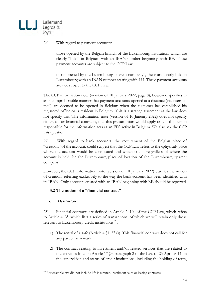

*26.* With regard to payment accounts:

- those opened by the Belgian branch of the Luxembourg institution, which are clearly "held" in Belgium with an IBAN number beginning with BE. These payment accounts are subject to the CCP Law;
- those opened by the Luxembourg "parent company", these are clearly held in Luxembourg with an IBAN number starting with LU. These payment accounts are not subject to the CCP Law.

The CCP information note (version of 10 January 2022, page 8), however, specifies in an incomprehensible manner that payment accounts opened at a distance (via internetmail) are deemed to be opened in Belgium when the customer has established his registered office or is resident in Belgium. This is a strange statement as the law does not specify this. The information note (version of 10 January 2022) does not specify either, as for financial contracts, that this presumption would apply only if the person responsible for the information acts as an FPS active in Belgium. We also ask the CCP this question.

*27.* With regard to bank accounts, the requirement of the Belgian place of "creation" of the account, could suggest that the CCP Law refers to the «physical» place where the account would be constituted and which could, regardless of where the account is held, be the Luxembourg place of location of the Luxembourg "parent company".

However, the CCP information note (version of 10 January 2022) clarifies the notion of creation, referring exclusively to the way the bank account has been identified with its IBAN. Only accounts created with an IBAN beginning with BE should be reported.

#### **3.2 The notion of a "financial contract"**

#### **i. Definition**

*28.* Financial contracts are defined in Article 2, 10° of the CCP Law, which refers to Article 4, 3°, which lists a series of transactions, of which we will retain only those relevant to Luxembourg credit institutions<sup>17</sup>:

- 1) The rental of a safe (Article  $4 \times 1$ ,  $3^{\circ}$  a)). This financial contract does not call for any particular remark;
- 2) The contract relating to investment and/or related services that are related to the activities listed in Article  $1<sup>er</sup>$  §3, paragraph 2 of the Law of 25 April 2014 on the supervision and status of credit institutions, including the holding of term,

<sup>&</sup>lt;sup>17</sup> For example, we did not include life insurance, instalment sales or leasing contracts.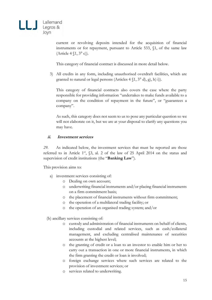

current or revolving deposits intended for the acquisition of financial instruments or for repayment, pursuant to Article 533, §1, of the same law (Article 4 §1, 3° c)).

This category of financial contract is discussed in more detail below.

3) All credits in any form, including unauthorised overdraft facilities, which are granted to natural or legal persons (Articles  $4 \{1, 3^{\circ} d\}$ , g), h) i)).

This category of financial contracts also covers the case where the party responsible for providing information "undertakes to make funds available to a company on the condition of repayment in the future", or "guarantees a company".

As such, this category does not seem to us to pose any particular question so we will not elaborate on it, but we are at your disposal to clarify any questions you may have.

#### **ii. Investment services**

*29.* As indicated below, the investment services that must be reported are those referred to in Article 1<sup>er</sup>,  $\S$ 3, al. 2 of the law of 25 April 2014 on the status and supervision of credit institutions (the "**Banking Law**").

This provision aims to:

- a) investment services consisting of:
	- o Dealing on own account;
	- o underwriting financial instruments and/or placing financial instruments on a firm commitment basis;
	- o the placement of financial instruments without firm commitment;
	- o the operation of a multilateral trading facility; or
	- o the operation of an organised trading system; and/or
- (b) ancillary services consisting of:
	- o custody and administration of financial instruments on behalf of clients, including custodial and related services, such as cash/collateral management, and excluding centralised maintenance of securities accounts at the highest level;
	- o the granting of credit or a loan to an investor to enable him or her to carry out a transaction in one or more financial instruments, in which the firm granting the credit or loan is involved;
	- o foreign exchange services where such services are related to the provision of investment services; or
	- o services related to underwriting.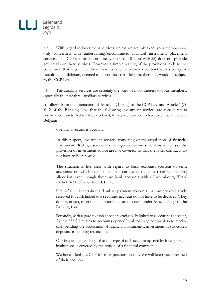*30.* With regard to investment services, unless we are mistaken, your members are only concerned with underwriting/uncommitted financial instrument placement services. The CCP's information note (version of 10 January 2022) does not provide any details on these services. However, a simple reading of the provisions leads to the conclusion that if your members were to enter into such a contract with a company established in Belgium, deemed to be concluded in Belgium, then they would be subject to the CCP Law.

*31.* The auxiliary services are certainly the ones of most interest to your members, especially the first three auxiliary services.

It follows from the interaction of Article 4  $\S$ 1, 3° c) of the CCP Law and Article 1  $\S$ 3, al. 2 of the Banking Law, that the following investment services are considered as financial contracts that must be declared, if they are deemed to have been concluded in Belgium

opening a securities account.

In this respect, investment services consisting of the acquisition of financial instruments (RTO), discretionary management of investment instruments or the provision of investment advice are not covered, so that the latter contracts do not have to be reported.

The situation is less clear with regard to bank accounts (current or term accounts) on which cash linked to securities accounts is recorded pending allocation, even though these are bank accounts with a Luxembourg IBAN (Article  $4 \sceil$ ,  $3^\circ$  c) of the CCP Law).

First of all, it is certain that bank or payment accounts that are not exclusively reserved for cash linked to a securities account do not have to be declared. They do not, in fact, meet the definition of a cash account under Article 533 §1 of the Banking Law.

Secondly, with regard to cash accounts exclusively linked to a securities account, Article 533 § 1 relates to accounts opened by «brokerage companies» to receive cash pending the acquisition of financial instruments, investment in structured deposits or pending restitution.

Our first understanding is that this type of cash account opened by foreign credit institutions is covered by the notion of a financial contract.

We have asked the CCP for their position on this. We will keep you informed of their position.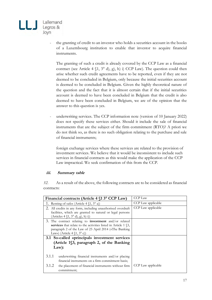

the granting of credit to an investor who holds a securities account in the books of a Luxembourg institution to enable that investor to acquire financial instruments.

The granting of such a credit is already covered by the CCP Law as a financial contract (see Article 4  $(1, 3^{\circ}$  d), g), h) i) CCP Law). The question could then arise whether such credit agreements have to be reported, even if they are not deemed to be concluded in Belgium, only because the initial securities account is deemed to be concluded in Belgium. Given the highly theoretical nature of the question and the fact that it is almost certain that if the initial securities account is deemed to have been concluded in Belgium that the credit is also deemed to have been concluded in Belgium, we are of the opinion that the answer to this question is yes.

underwriting services. The CCP information note (version of 10 January 2022) does not specify these services either. Should it include the sale of financial instruments that are the subject of the firm commitment (RTO)? A priori we do not think so, as there is no such obligation relating to the purchase and sale of financial instruments;

foreign exchange services where these services are related to the provision of investment services. We believe that it would be inconsistent to include such services in financial contracts as this would make the application of the CCP Law impractical. We seek confirmation of this from the CCP.

#### **iii. Summary table**

*32.* As a result of the above, the following contracts are to be considered as financial contracts:

|       | Financial contracts (Article 4 \\$1 3° CCP Law)                                                                                                                                                                                                | <b>CCP Law</b>     |
|-------|------------------------------------------------------------------------------------------------------------------------------------------------------------------------------------------------------------------------------------------------|--------------------|
|       | 1. Renting of safes (Article $4 \seta 1$ , $3^{\circ}$ a))                                                                                                                                                                                     | CCP Law applicable |
|       | 2. All credits in any form, including unauthorised overdraft<br>facilities, which are granted to natural or legal persons<br>$(Articles 4 \S1, 3^{\circ} d), g), h) i))$                                                                       | CCP Law applicable |
|       | 3. The contract relating to <b>investment</b> and/or related<br>services that relate to the activities listed in Article 1 $\S$ 3,<br>paragraph 2 of the Law of 25 April 2014 («The Banking<br>Law») (Article $4 \{1, 3^{\circ} \text{ c}\}\)$ |                    |
|       | 3.1 So-called «principal» investment services                                                                                                                                                                                                  |                    |
|       | (Article 1§3, paragraph 2, of the Banking                                                                                                                                                                                                      |                    |
|       | $Law$ :                                                                                                                                                                                                                                        |                    |
| 3.1.1 | underwriting financial instruments and/or placing<br>financial instruments on a firm commitment basis;                                                                                                                                         |                    |
| 3.1.2 | the placement of financial instruments without firm<br>commitment;                                                                                                                                                                             | CCP Law applicable |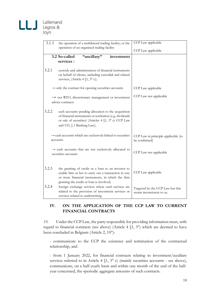

# Joyn

| 3.1.3<br>the operation of a multilateral trading facility; or the                                                                                                                                             |                                                                                                                                                                                                           | CCP Law applicable                                            |
|---------------------------------------------------------------------------------------------------------------------------------------------------------------------------------------------------------------|-----------------------------------------------------------------------------------------------------------------------------------------------------------------------------------------------------------|---------------------------------------------------------------|
|                                                                                                                                                                                                               | operation of an organised trading facility                                                                                                                                                                | CCP Law applicable                                            |
|                                                                                                                                                                                                               | "ancillary"<br>3.2 So-called<br>investment                                                                                                                                                                |                                                               |
|                                                                                                                                                                                                               | services :                                                                                                                                                                                                |                                                               |
| 3.2.1                                                                                                                                                                                                         | custody and administration of financial instruments<br>on behalf of clients, including custodial and related<br>services, (Article 4 §1, 3° c);                                                           |                                                               |
|                                                                                                                                                                                                               | $\rightarrow$ only the contract for opening securities accounts                                                                                                                                           | CCP Law applicable                                            |
|                                                                                                                                                                                                               | → not RTO, discretionary management or investment<br>advice contracts                                                                                                                                     | CCP Law not applicable                                        |
| 3.2.2<br>cash accounts pending allocation to the acquisition<br>of financial instruments or restitution (e.g. dividends<br>or sale of securities) (Articles 4 §1, 3° c) CCP Law<br>and 533, § 1 Banking Law). |                                                                                                                                                                                                           |                                                               |
|                                                                                                                                                                                                               | $\rightarrow$ cash accounts which are exclusively linked to securities<br>accounts                                                                                                                        | CCP Law in principle applicable (to<br>be confirmed)          |
|                                                                                                                                                                                                               | $\rightarrow$ cash accounts that are not exclusively allocated to<br>securities accounts                                                                                                                  | CCP Law not applicable                                        |
| 3.2.3                                                                                                                                                                                                         | the granting of credit or a loan to an investor to<br>enable him or her to carry out a transaction in one<br>or more financial instruments, in which the firm<br>granting the credit or loan is involved; | CCP Law applicable                                            |
| 3.2.4                                                                                                                                                                                                         | foreign exchange services where such services are<br>related to the provision of investment services or<br>services related to underwriting                                                               | Targeted by the CCP Law but this<br>seems inconsistent to us. |

#### **IV. ON THE APPLICATION OF THE CCP LAW TO CURRENT FINANCIAL CONTRACTS**

*33.* Under the CCP Law, the party responsible for providing information must, with regard to financial contracts (see above) (Article 4 §1, 3°) which are deemed to have been concluded in Belgium (Article 2, 10°):

- communicate to the CCP the existence and termination of the contractual relationship, and

- from 1 January 2022, for financial contracts relating to investment/auxiliary services referred to in Article 4  $\S1$ ,  $3^{\circ}$  c) (mainly securities accounts - see above), communicate, on a half-yearly basis and within one month of the end of the halfyear concerned, the «periodic aggregate amount» of such contracts.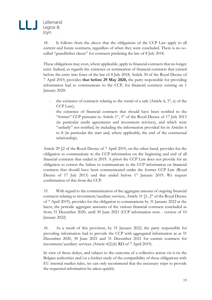

*34.* It follows from the above that the obligations of the CCP Law apply to all current and future contracts, regardless of when they were concluded. There is no socalled "grandfather clause" for contracts predating the law of 8 July 2018.

These obligations may even, where applicable, apply to financial contracts that no longer exist. Indeed, as regards the existence or termination of financial contracts that existed before the entry into force of the law of 8 July 2018, Article 30 of the Royal Decree of 7 April 2019, provides **that before 29 May 2020,** the party responsible for providing information had to communicate to the CCP, for financial contracts existing on 1 January 2020:

- the existence of contracts relating to the rental of a safe (Article 4,  $3^\circ$ , a) of the CCP Law);
- the existence of financial contracts that should have been notified to the "former" CCP pursuant to Article  $1<sup>er</sup>$ ,  $5<sup>°</sup>$  of the Royal Decree of 17 July 2013 (in particular credit agreements and investment services), and which were "unfairly" not notified, by including the information provided for in Articles 6 to 8 (in particular the start and, where applicable, the end of the contractual relationship).

Article 29 §2 of the Royal Decree of 7 April 2019, on the other hand, provides for the obligation to communicate to the CCP information on the beginning and end of all financial contracts that ended in 2019. A priori the CCP Law does not provide for an obligation to correct the failure to communicate to the CCP information on financial contracts that should have been communicated under the former CCP Law (Royal Decree of 17 July 2013) and that ended before 1<sup>er</sup> January 2019. We request confirmation of this from the CCP.

*35.* With regard to the communication of the aggregate amount of ongoing financial contracts relating to investment/auxiliary services, Article 31 §1, 2° of the Royal Decree of 7 April 2019), provides for the obligation to communicate by 31 January 2022 at the latest, the periodic aggregate amounts of the various financial contracts concluded as from 31 December 2020, until 30 June 2021 (CCP information note - version of 10 January 2022)

*36.* As a result of this provision, by 31 January 2022, the party responsible for providing information had to provide the CCP with aggregated information as at 31 December 2020, 30 June 2021 and 31 December 2021 for current contracts for investment/auxiliary services (Article 4(2)(b) RD of 7 April 2019).

In view of these delays, and subject to the outcome of a collective action vis-à-vis the Belgian authorities and/or a further study of the compatibility of these obligations with EU internal market rules, we can only recommend that the necessary steps to provide the requested information be taken quickly.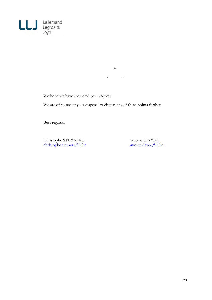

\*  $*$  \*

We hope we have answered your request.

We are of course at your disposal to discuss any of these points further.

Best regards,

Christophe STEYAERT Antoine DAYEZ<br>
christophe.steyaert@llj.be antoine.dayez@llj.be  $\frac{1}{\text{christophe}.\text{steyaert@llj.be}}$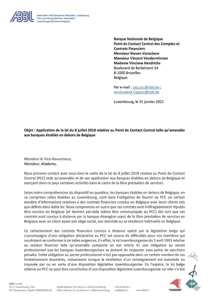

Association des Banques et Banquiers, Luxembourg The Luxembourg Bankers' Association Luxemburger Bankenvereinigung

> **Banque Nationale de Belgique** Point de Contact Central des Comptes et **Contrats Financiers Monsieur Steven Vanackere Monsieur Vincent Venderminnen Madame Vinciane Hendrichs Boulevard de Berlaimont 14 B-1000 Bruxelles Belgique**

Par e-mail: cap.pcc@nbb.be; servicedesk.Cappcc@nbb.be

Luxembourg, le 31 janvier 2022

#### Objet : Application de la loi du 8 juillet 2018 relative au Point de Contact Central telle qu'amendée aux banques établies en dehors de Belgique

Monsieur le Vice-Gouverneur. Monsieur, Madame,

Nous prenons contact avec vous dans le cadre de la loi du 8 juillet 2018 relative au Point de Contact Central (PCC) telle qu'amendée et de son application aux banques établies en dehors de Belgique et exercant dans ce pays certaines activités dans le cadre de la libre prestation de services.

Selon notre compréhension du dispositif en question, les banques établies en dehors de Belgique, en ce comprises celles établies au Luxembourg, sont dans l'obligation de fournir au PCC un certain nombre d'informations relatives à des contrats financiers conclus en Belgique avec leurs clients tels que définis dans ladite loi. Nous comprenons en outre que ces contrats sont irréfragablement réputés être conclus en Belgique (et devront par-delà même être communiqués au PCC) dès lors que ces contrats sont conclus à distance par la banque étrangère usant de la libre prestation de services en Belgique avec un client ayant son siège social, son domicile ou sa résidence habituelle en Belgique.

Ce rattachement des contrats financiers conclus à distance opéré par la législation belge qui s'accompagne d'une obligation déclarative au PCC est source de difficultés pour nos membres qui voudraient se conformer à de telles exigences. En effet, la loi luxembourgeoise du 5 avril 1993 relative au secteur financier telle qu'amendée comporte en son article 41 une obligation au secret professionnel que les banques luxembourgeoises se doivent de respecter sous peine de sanctions pénales. Cette obligation au secret professionnel n'est pas opposable dans un certain nombre de cas limitativement énumérés, notamment lorsque la révélation d'un renseignement est autorisée ou imposée par ou en vertu d'une disposition législative luxembourgeoise. En l'espèce, la loi belge relative au PCC ne peut être constitutive d'une disposition législative luxembourgeoise car elle n'a été



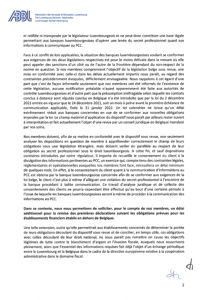

Association des Banques et Banquiers, Luxembourg The Luxembourg Bankers' Association Luxemburger Bankenvereinigung

ni ratifiée ni transposée par le législateur luxembourgeois et ne peut donc constituer une base légale permettant aux banques luxembourgeoises d'opérer une levée du secret professionnel quant aux informations à communiquer au PCC.

Face à ce conflit de lois applicables, la situation des banques luxembourgeoises voulant se conformer aux exigences de ces deux législations respectives est pour le moins délicate dans la mesure où elle peut appeler des sanctions d'un côté ou de l'autre de la frontière dépendant du non-respect de la norme en question. Si nos membres comprennent l'objectif de la législation belge sous revue, une mise en conformité avec celle-ci dans les délais actuellement impartis nous paraît, au regard des contraintes précédemment évoquées, difficilement envisageable. Nous rappelons à cet égard d'une part que c'est de façon informelle seulement que nos membres ont été informés de l'existence de cette législation, aucune notification préalable n'ayant apparemment été faite aux autorités de contrôle luxembourgeoises et d'autre part que la présomption irréfragable selon laquelle les contrats conclus à distance sont réputés conclus en Belgique n'a été introduite que par la loi du 2 décembre 2021 entrée en vigueur que le 24 décembre 2021, soit un mois à peine avant la première échéance de communication applicable, fixée le 31 janvier 2022. Un tel calendrier ne laisse qu'un délai extrêmement réduit aux banques concernées en vue de se conformer aux nouvelles obligations imposées par la loi. Le champ matériel d'application du dispositif nous paraît par ailleurs rester ouvert à interprétation et fait actuellement l'objet d'une revue par un conseil juridique en Belgique mandaté par nos soins.

Nos membres doivent, afin de se mettre en conformité avec le dispositif sous revue, non seulement analyser les dispositions en question de manière à appréhender correctement le champ de leurs obligations sous une législation étrangère, mais doivent veiller en parallèle au respect de leur obligation au secret professionnel sous le droit luxembourgeois. A cette fin, et sauf dispositions contraires introduites par notre régulateur, il importe de recueillir le consentement du client à la divulgation des informations pertinentes au PCC, un exercice qui, compte tenu des contraintes légales, réglementaires et opérationnelles auxquelles nos membres font face, nécessitera un délai minimum de quelques mois. En effet, si le consentement du client quant à la communication d'informations au PCC est obtenu par la banque luxembourgeoise concernée afin de se conformer aux exigences de la loi belge, le client n'est plus à même d'alléguer une violation du secret professionnel à l'encontre de la banque procédant à ladite communication. Ce travail d'analyse juridique et de collecte des consentements des clients ne pourra cependant être effectué qu'au bout d'une certaine période à l'issue de laquelle les banques luxembourgeoises seront à même de procéder à la communication des informations au PCC.

Dans ce contexte, nous nous permettons de solliciter, pour le compte de nos membres, un délai additionnel pour la remise des premières déclarations suivant les obligations prévues pour les établissements financiers établis en dehors de Belgique.

Une telle extension, outre qu'elle permettrait aux établissements concernés de déterminer la portée de leurs obligations découlant du dispositif sous revue et de concilier, en temps utile, ces obligations avec celles découlant de leur droit national, ne nous paraît pas remettre en cause les objectifs légitimes de lutte contre le blanchiment d'argent et l'évasion fiscale, auxquels nous souscrivons pleinement, alors que l'essentiel des informations requises fait déjà l'objet d'un échange périodique entre le Luxembourg et la Belgique dans le cadre de la directive européenne relative à la coopération administrative dans le domaine fiscal.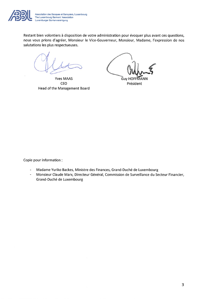

Association des Banques et Banquiers, Luxembourg The Luxembourg Bankers' Association Luxemburger Bankenvereinigung

Restant bien volontiers à disposition de votre administration pour évoquer plus avant ces questions, nous vous prions d'agréer, Monsieur le Vice-Gouverneur, Monsieur, Madame, l'expression de nos salutations les plus respectueuses.

**Yves MAAS CEO Head of the Management Board** 

**Guy HOFF** MANN Président

Copie pour information :

- Madame Yuriko Backes, Ministre des Finances, Grand-Duché de Luxembourg  $\ddot{\phantom{a}}$
- $\omega$ Monsieur Claude Marx, Directeur Général, Commission de Surveillance du Secteur Financier, Grand-Duché de Luxembourg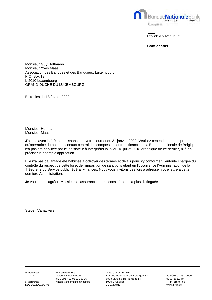

LE VICE-GOUVERNEUR

**Confidentiel**

Monsieur Guy Hoffmann Monsieur Yves Maas Association des Banques et des Banquiers, Luxembourg P.O. Box 13 L-2010 Luxembourg GRAND-DUCHÉ DU LUXEMBOURG

Bruxelles, le 18 février 2022

Monsieur Hoffmann, Monsieur Maas,

J'ai pris avec intérêt connaissance de votre courrier du 31 janvier 2022. Veuillez cependant noter qu'en tant qu'opératrice du point de contact central des comptes et contrats financiers, la Banque nationale de Belgique n'a pas été habilitée par le législateur à interpréter la loi du 18 juillet 2018 organique de ce dernier, ni à en préciser le champ d'application.

Elle n'a pas davantage été habilitée à octroyer des termes et délais pour s'y conformer, l'autorité chargée du contrôle du respect de cette loi et de l'imposition de sanctions étant en l'occurrence l'Administration de la Trésorerie du Service public fédéral Finances. Nous vous invitons dès lors à adresser votre lettre à cette dernière Administration.

Je vous prie d'agréer, Messieurs, l'assurance de ma considération la plus distinguée.

Steven Vanackere

vos références votre correspondant vos références von de la votre correspondant vos de la Data Collection Unit

2022-01-31 Vandernimmen Vincent Banque nationale de Belgique SA numéro d'entreprise:<br>tél./GSM: + 32 02 221 53 26 boulevard de Berlaimont 14 0203.201.340 boulevard de Berlaimont 14 nos références vincent.vanderminnen@nbb.be 1000 Bruxelles RPM Bruxelles DDCL/2022/215/VV/cl BELGIQUE www.bnb.be